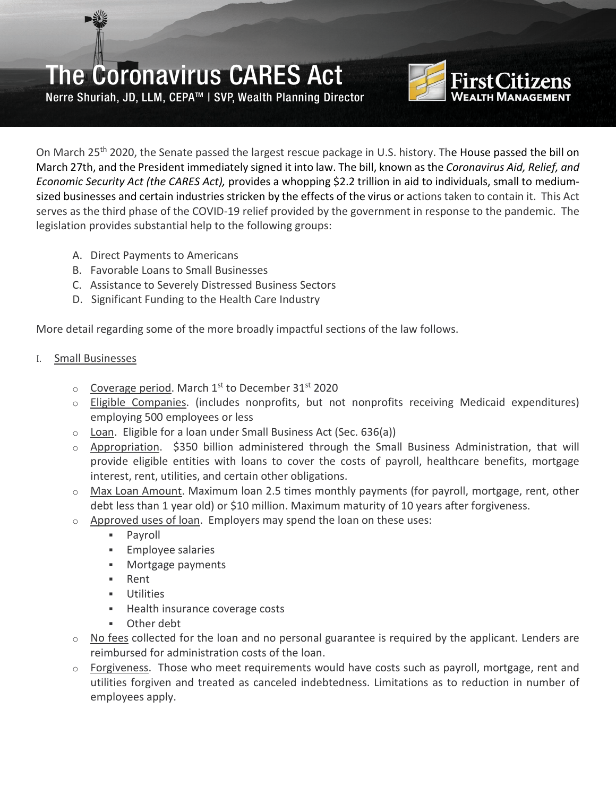Nerre Shuriah, JD, LLM, CEPA™ | SVP, Wealth Planning Director



On March 25<sup>th</sup> 2020, the Senate passed the largest rescue package in U.S. history. The House passed the bill on March 27th, and the President immediately signed it into law. The bill, known as the *Coronavirus Aid, Relief, and Economic Security Act (the CARES Act),* provides a whopping \$2.2 trillion in aid to individuals, small to mediumsized businesses and certain industries stricken by the effects of the virus or actions taken to contain it.This Act serves as the third phase of the COVID-19 relief provided by the government in response to the pandemic. The legislation provides substantial help to the following groups:

- A. Direct Payments to Americans
- B. Favorable Loans to Small Businesses
- C. Assistance to Severely Distressed Business Sectors
- D. Significant Funding to the Health Care Industry

More detail regarding some of the more broadly impactful sections of the law follows.

#### I. Small Businesses

- $\circ$  Coverage period. March 1<sup>st</sup> to December 31st 2020
- o Eligible Companies. (includes nonprofits, but not nonprofits receiving Medicaid expenditures) employing 500 employees or less
- $\circ$  Loan. Eligible for a loan under Small Business Act (Sec. 636(a))
- $\circ$  Appropriation. \$350 billion administered through the Small Business Administration, that will provide eligible entities with loans to cover the costs of payroll, healthcare benefits, mortgage interest, rent, utilities, and certain other obligations.
- $\circ$  Max Loan Amount. Maximum loan 2.5 times monthly payments (for payroll, mortgage, rent, other debt less than 1 year old) or \$10 million. Maximum maturity of 10 years after forgiveness.
- o Approved uses of loan. Employers may spend the loan on these uses:
	- Payroll
	- **Employee salaries**
	- **Mortgage payments**
	- Rent
	- Utilities
	- **Health insurance coverage costs**
	- Other debt
- $\circ$  No fees collected for the loan and no personal guarantee is required by the applicant. Lenders are reimbursed for administration costs of the loan.
- $\circ$  Forgiveness. Those who meet requirements would have costs such as payroll, mortgage, rent and utilities forgiven and treated as canceled indebtedness. Limitations as to reduction in number of employees apply.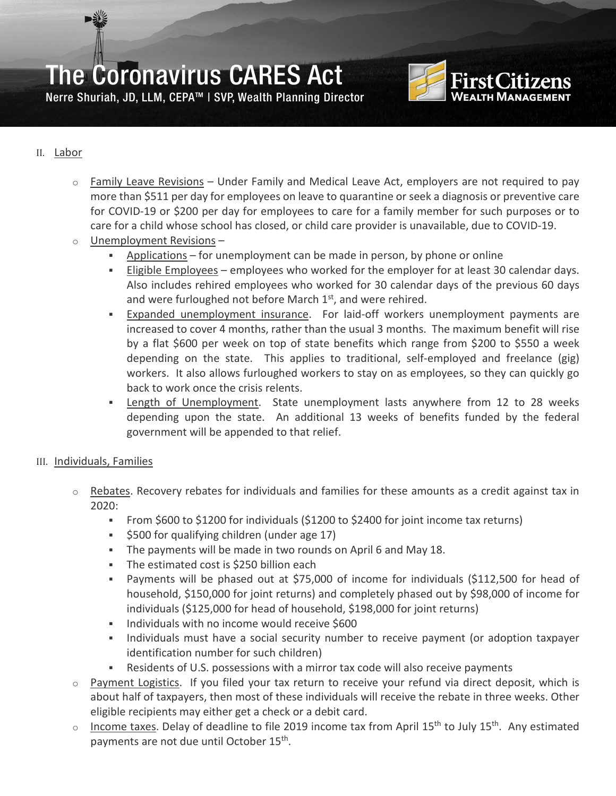



#### II. Labor

- $\circ$  Family Leave Revisions Under Family and Medical Leave Act, employers are not required to pay more than \$511 per day for employees on leave to quarantine or seek a diagnosis or preventive care for COVID-19 or \$200 per day for employees to care for a family member for such purposes or to care for a child whose school has closed, or child care provider is unavailable, due to COVID-19.
- o Unemployment Revisions
	- Applications for unemployment can be made in person, by phone or online
	- Eligible Employees employees who worked for the employer for at least 30 calendar days. Also includes rehired employees who worked for 30 calendar days of the previous 60 days and were furloughed not before March  $1<sup>st</sup>$ , and were rehired.
	- **Expanded unemployment insurance.** For laid-off workers unemployment payments are increased to cover 4 months, rather than the usual 3 months. The maximum benefit will rise by a flat \$600 per week on top of state benefits which range from \$200 to \$550 a week depending on the state. This applies to traditional, self-employed and freelance (gig) workers. It also allows furloughed workers to stay on as employees, so they can quickly go back to work once the crisis relents.
	- Length of Unemployment. State unemployment lasts anywhere from 12 to 28 weeks depending upon the state. An additional 13 weeks of benefits funded by the federal government will be appended to that relief.

#### III. Individuals, Families

- $\circ$  Rebates. Recovery rebates for individuals and families for these amounts as a credit against tax in 2020:
	- From \$600 to \$1200 for individuals (\$1200 to \$2400 for joint income tax returns)
	- **S500 for qualifying children (under age 17)**
	- The payments will be made in two rounds on April 6 and May 18.
	- The estimated cost is \$250 billion each
	- Payments will be phased out at \$75,000 of income for individuals (\$112,500 for head of household, \$150,000 for joint returns) and completely phased out by \$98,000 of income for individuals (\$125,000 for head of household, \$198,000 for joint returns)
	- **Individuals with no income would receive \$600**
	- Individuals must have a social security number to receive payment (or adoption taxpayer identification number for such children)
	- Residents of U.S. possessions with a mirror tax code will also receive payments
- $\circ$  Payment Logistics. If you filed your tax return to receive your refund via direct deposit, which is about half of taxpayers, then most of these individuals will receive the rebate in three weeks. Other eligible recipients may either get a check or a debit card.
- $\circ$  Income taxes. Delay of deadline to file 2019 income tax from April 15<sup>th</sup> to July 15<sup>th</sup>. Any estimated payments are not due until October 15<sup>th</sup>.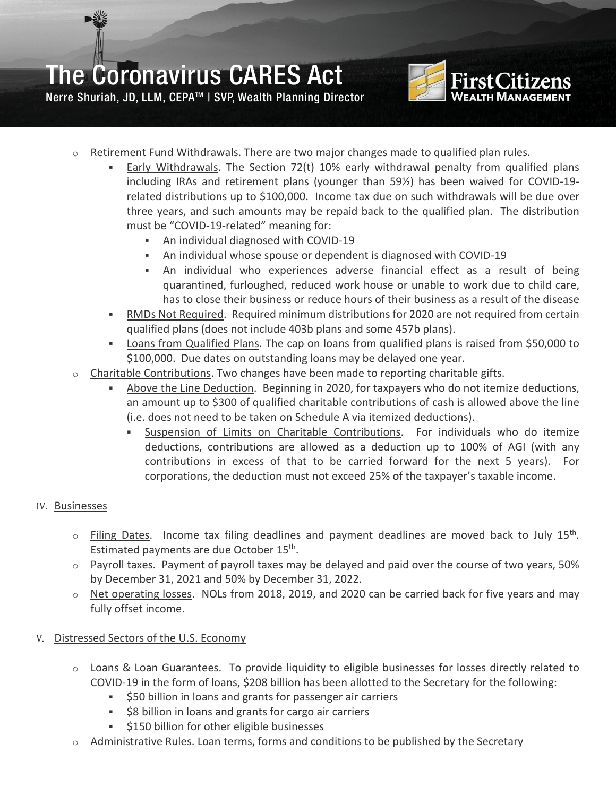

Nerre Shuriah, JD, LLM, CEPA™ | SVP, Wealth Planning Director

- $\circ$  Retirement Fund Withdrawals. There are two major changes made to qualified plan rules.
	- Early Withdrawals. The Section 72(t) 10% early withdrawal penalty from qualified plans including IRAs and retirement plans (younger than 59½) has been waived for COVID-19 related distributions up to \$100,000. Income tax due on such withdrawals will be due over three years, and such amounts may be repaid back to the qualified plan. The distribution must be "COVID-19-related" meaning for:
		- An individual diagnosed with COVID-19
		- An individual whose spouse or dependent is diagnosed with COVID-19
		- An individual who experiences adverse financial effect as a result of being quarantined, furloughed, reduced work house or unable to work due to child care, has to close their business or reduce hours of their business as a result of the disease
	- RMDs Not Required. Required minimum distributions for 2020 are not required from certain qualified plans (does not include 403b plans and some 457b plans).
	- Loans from Qualified Plans. The cap on loans from qualified plans is raised from \$50,000 to \$100,000. Due dates on outstanding loans may be delayed one year.
- $\circ$  Charitable Contributions. Two changes have been made to reporting charitable gifts.
	- Above the Line Deduction. Beginning in 2020, for taxpayers who do not itemize deductions, an amount up to \$300 of qualified charitable contributions of cash is allowed above the line (i.e. does not need to be taken on Schedule A via itemized deductions).
		- Suspension of Limits on Charitable Contributions. For individuals who do itemize deductions, contributions are allowed as a deduction up to 100% of AGI (with any contributions in excess of that to be carried forward for the next 5 years). For corporations, the deduction must not exceed 25% of the taxpayer's taxable income.

#### IV. Businesses

- $\circ$  Filing Dates. Income tax filing deadlines and payment deadlines are moved back to July 15<sup>th</sup>. Estimated payments are due October 15th.
- $\circ$  Payroll taxes. Payment of payroll taxes may be delayed and paid over the course of two years, 50% by December 31, 2021 and 50% by December 31, 2022.
- $\circ$  Net operating losses. NOLs from 2018, 2019, and 2020 can be carried back for five years and may fully offset income.

#### V. Distressed Sectors of the U.S. Economy

- o Loans & Loan Guarantees. To provide liquidity to eligible businesses for losses directly related to COVID-19 in the form of loans, \$208 billion has been allotted to the Secretary for the following:
	- $\overline{\phantom{a}}$  \$50 billion in loans and grants for passenger air carriers
	- $\approx$  \$8 billion in loans and grants for cargo air carriers
	- **\$150 billion for other eligible businesses**
- Administrative Rules. Loan terms, forms and conditions to be published by the Secretary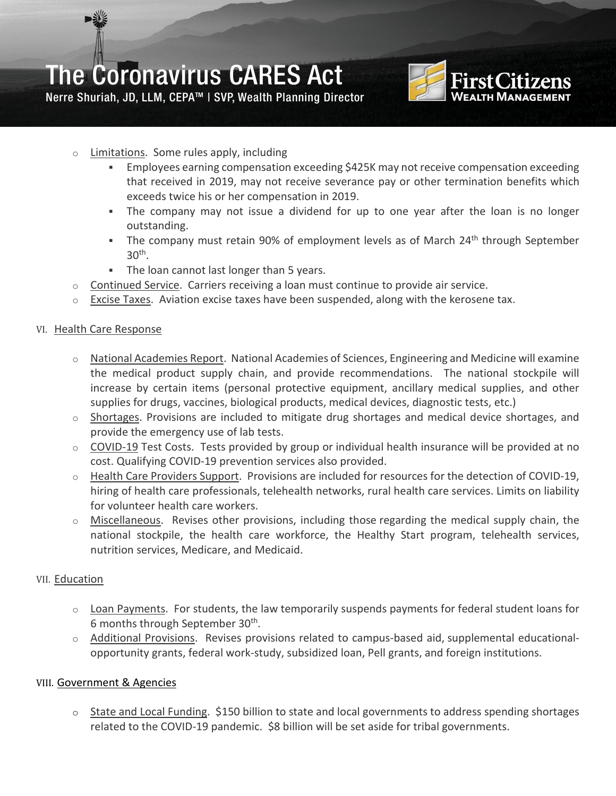

Nerre Shuriah, JD, LLM, CEPA™ | SVP, Wealth Planning Director

- o Limitations. Some rules apply, including
	- Employees earning compensation exceeding \$425K may not receive compensation exceeding that received in 2019, may not receive severance pay or other termination benefits which exceeds twice his or her compensation in 2019.
	- The company may not issue a dividend for up to one year after the loan is no longer outstanding.
	- The company must retain 90% of employment levels as of March  $24<sup>th</sup>$  through September  $30<sup>th</sup>$ .
	- The loan cannot last longer than 5 years.
- o Continued Service. Carriers receiving a loan must continue to provide air service.
- $\circ$  Excise Taxes. Aviation excise taxes have been suspended, along with the kerosene tax.

#### VI. Health Care Response

- o National Academies Report. National Academies of Sciences, Engineering and Medicine will examine the medical product supply chain, and provide recommendations. The national stockpile will increase by certain items (personal protective equipment, ancillary medical supplies, and other supplies for drugs, vaccines, biological products, medical devices, diagnostic tests, etc.)
- $\circ$  Shortages. Provisions are included to mitigate drug shortages and medical device shortages, and provide the emergency use of lab tests.
- o COVID-19 Test Costs. Tests provided by group or individual health insurance will be provided at no cost. Qualifying COVID-19 prevention services also provided.
- $\circ$  Health Care Providers Support. Provisions are included for resources for the detection of COVID-19, hiring of health care professionals, telehealth networks, rural health care services. Limits on liability for volunteer health care workers.
- $\circ$  Miscellaneous. Revises other provisions, including those regarding the medical supply chain, the national stockpile, the health care workforce, the Healthy Start program, telehealth services, nutrition services, Medicare, and Medicaid.

#### VII. Education

- $\circ$  Loan Payments. For students, the law temporarily suspends payments for federal student loans for 6 months through September 30th.
- $\circ$  Additional Provisions. Revises provisions related to campus-based aid, supplemental educationalopportunity grants, federal work-study, subsidized loan, Pell grants, and foreign institutions.

#### VIII. Government & Agencies

o State and Local Funding. \$150 billion to state and local governments to address spending shortages related to the COVID-19 pandemic. \$8 billion will be set aside for tribal governments.